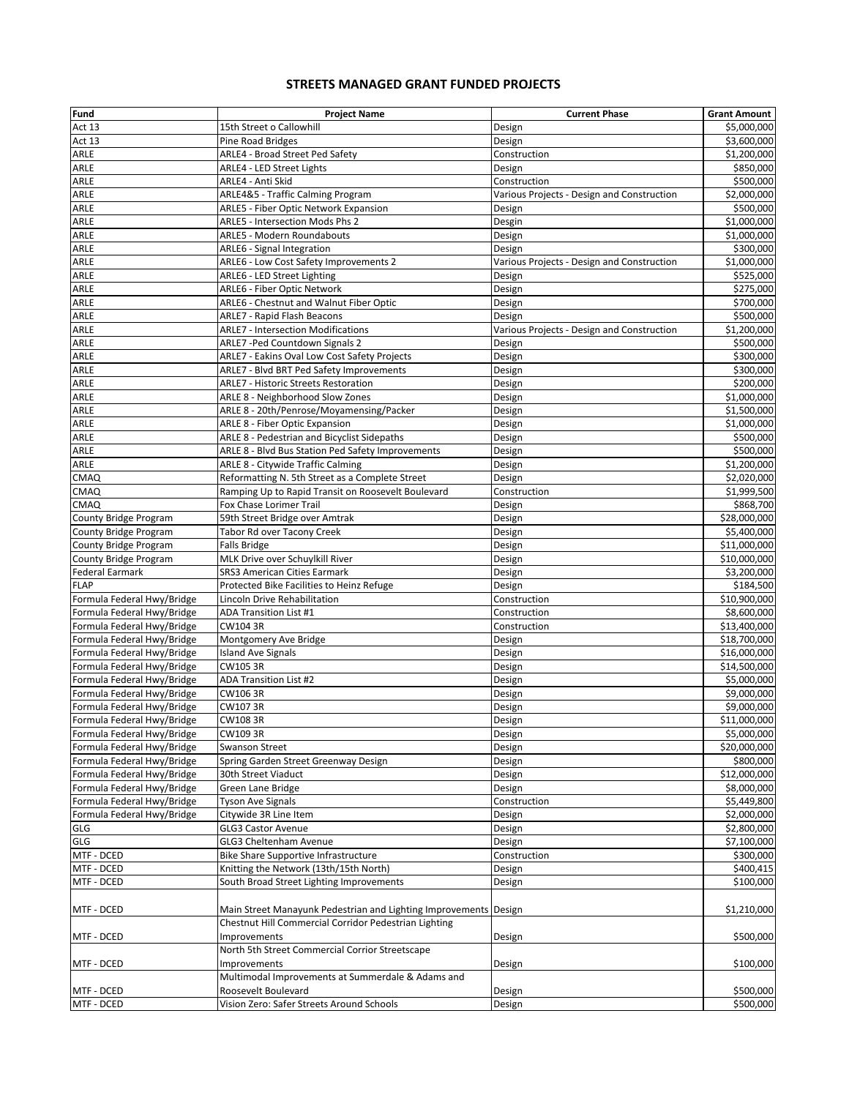## **STREETS MANAGED GRANT FUNDED PROJECTS**

| Fund                       | <b>Project Name</b>                                              | <b>Current Phase</b>                       | <b>Grant Amount</b> |
|----------------------------|------------------------------------------------------------------|--------------------------------------------|---------------------|
| Act 13                     | 15th Street o Callowhill                                         | Design                                     | \$5,000,000         |
| Act 13                     | Pine Road Bridges                                                | Design                                     | \$3,600,000         |
| ARLE                       | ARLE4 - Broad Street Ped Safety                                  | Construction                               | \$1,200,000         |
| ARLE                       | ARLE4 - LED Street Lights                                        | Design                                     | \$850,000           |
| ARLE                       | ARLE4 - Anti Skid                                                | Construction                               | \$500,000           |
| ARLE                       | ARLE4&5 - Traffic Calming Program                                | Various Projects - Design and Construction | \$2,000,000         |
| ARLE                       | ARLE5 - Fiber Optic Network Expansion                            | Design                                     | \$500,000           |
| ARLE                       | ARLE5 - Intersection Mods Phs 2                                  | Desgin                                     | \$1,000,000         |
| ARLE                       | ARLE5 - Modern Roundabouts                                       | Design                                     | \$1,000,000         |
| ARLE                       | ARLE6 - Signal Integration                                       | Design                                     | \$300,000           |
| ARLE                       | ARLE6 - Low Cost Safety Improvements 2                           | Various Projects - Design and Construction | \$1,000,000         |
| ARLE                       | <b>ARLE6 - LED Street Lighting</b>                               | Design                                     | \$525,000           |
| ARLE                       | <b>ARLE6 - Fiber Optic Network</b>                               | Design                                     | \$275,000           |
| ARLE                       | ARLE6 - Chestnut and Walnut Fiber Optic                          | Design                                     | \$700,000           |
| ARLE                       | <b>ARLE7 - Rapid Flash Beacons</b>                               | Design                                     | \$500,000           |
| ARLE                       | <b>ARLE7 - Intersection Modifications</b>                        | Various Projects - Design and Construction | \$1,200,000         |
| ARLE                       | ARLE7 - Ped Countdown Signals 2                                  | Design                                     | \$500,000           |
| ARLE                       | <b>ARLE7 - Eakins Oval Low Cost Safety Projects</b>              | Design                                     | \$300,000           |
| ARLE                       | ARLE7 - Blvd BRT Ped Safety Improvements                         | Design                                     | \$300,000           |
| ARLE                       | ARLE7 - Historic Streets Restoration                             | Design                                     | \$200,000           |
| ARLE                       | ARLE 8 - Neighborhood Slow Zones                                 | Design                                     | \$1,000,000         |
| ARLE                       | ARLE 8 - 20th/Penrose/Moyamensing/Packer                         | Design                                     | \$1,500,000         |
| ARLE                       | ARLE 8 - Fiber Optic Expansion                                   | Design                                     | \$1,000,000         |
| ARLE                       | ARLE 8 - Pedestrian and Bicyclist Sidepaths                      | Design                                     | \$500,000           |
| ARLE                       | ARLE 8 - Blvd Bus Station Ped Safety Improvements                | Design                                     | \$500,000           |
| ARLE                       | ARLE 8 - Citywide Traffic Calming                                | Design                                     | \$1,200,000         |
| CMAQ                       | Reformatting N. 5th Street as a Complete Street                  | Design                                     | \$2,020,000         |
| <b>CMAQ</b>                | Ramping Up to Rapid Transit on Roosevelt Boulevard               | Construction                               | \$1,999,500         |
| CMAQ                       | Fox Chase Lorimer Trail                                          | Design                                     | \$868,700           |
| County Bridge Program      | 59th Street Bridge over Amtrak                                   | Design                                     | \$28,000,000        |
| County Bridge Program      | Tabor Rd over Tacony Creek                                       | Design                                     | \$5,400,000         |
| County Bridge Program      | <b>Falls Bridge</b>                                              | Design                                     | \$11,000,000        |
| County Bridge Program      | MLK Drive over Schuylkill River                                  | Design                                     | \$10,000,000        |
| <b>Federal Earmark</b>     | <b>SRS3 American Cities Earmark</b>                              | Design                                     | \$3,200,000         |
| <b>FLAP</b>                | Protected Bike Facilities to Heinz Refuge                        | Design                                     | \$184,500           |
| Formula Federal Hwy/Bridge | Lincoln Drive Rehabilitation                                     | Construction                               | \$10,900,000        |
| Formula Federal Hwy/Bridge | ADA Transition List #1                                           | Construction                               | \$8,600,000         |
| Formula Federal Hwy/Bridge | CW104 3R                                                         | Construction                               | \$13,400,000        |
| Formula Federal Hwy/Bridge | Montgomery Ave Bridge                                            | Design                                     | \$18,700,000        |
| Formula Federal Hwy/Bridge | <b>Island Ave Signals</b>                                        | Design                                     | \$16,000,000        |
| Formula Federal Hwy/Bridge | CW1053R                                                          | Design                                     | \$14,500,000        |
| Formula Federal Hwy/Bridge | ADA Transition List #2                                           | Design                                     | \$5,000,000         |
| Formula Federal Hwy/Bridge | CW1063R                                                          | Design                                     | \$9,000,000         |
| Formula Federal Hwy/Bridge | CW1073R                                                          | Design                                     | \$9,000,000         |
| Formula Federal Hwy/Bridge | CW1083R                                                          | Design                                     | \$11,000,000        |
| Formula Federal Hwy/Bridge | <b>CW1093R</b>                                                   | Design                                     | \$5,000,000         |
| Formula Federal Hwy/Bridge | Swanson Street                                                   | Design                                     | \$20,000,000        |
| Formula Federal Hwy/Bridge | Spring Garden Street Greenway Design                             | Design                                     | \$800,000           |
| Formula Federal Hwy/Bridge | 30th Street Viaduct                                              | Design                                     | \$12,000,000        |
| Formula Federal Hwy/Bridge | Green Lane Bridge                                                | Design                                     | \$8,000,000         |
| Formula Federal Hwy/Bridge | <b>Tyson Ave Signals</b>                                         | Construction                               | \$5,449,800         |
| Formula Federal Hwy/Bridge | Citywide 3R Line Item                                            | Design                                     | \$2,000,000         |
| GLG                        | GLG3 Castor Avenue                                               | Design                                     | \$2,800,000         |
| GLG                        | GLG3 Cheltenham Avenue                                           | Design                                     | \$7,100,000         |
| MTF - DCED                 | <b>Bike Share Supportive Infrastructure</b>                      | Construction                               | \$300,000           |
| MTF - DCED                 | Knitting the Network (13th/15th North)                           | Design                                     | \$400,415           |
| MTF - DCED                 | South Broad Street Lighting Improvements                         | Design                                     | \$100,000           |
|                            |                                                                  |                                            |                     |
| MTF - DCED                 | Main Street Manayunk Pedestrian and Lighting Improvements Design |                                            | \$1,210,000         |
|                            | Chestnut Hill Commercial Corridor Pedestrian Lighting            |                                            |                     |
| MTF - DCED                 | Improvements                                                     | Design                                     | \$500,000           |
|                            | North 5th Street Commercial Corrior Streetscape                  |                                            |                     |
| MTF - DCED                 | Improvements                                                     | Design                                     | \$100,000           |
|                            | Multimodal Improvements at Summerdale & Adams and                |                                            |                     |
| MTF - DCED                 | Roosevelt Boulevard                                              | Design                                     | \$500,000           |
| MTF - DCED                 | Vision Zero: Safer Streets Around Schools                        | Design                                     | \$500,000           |
|                            |                                                                  |                                            |                     |